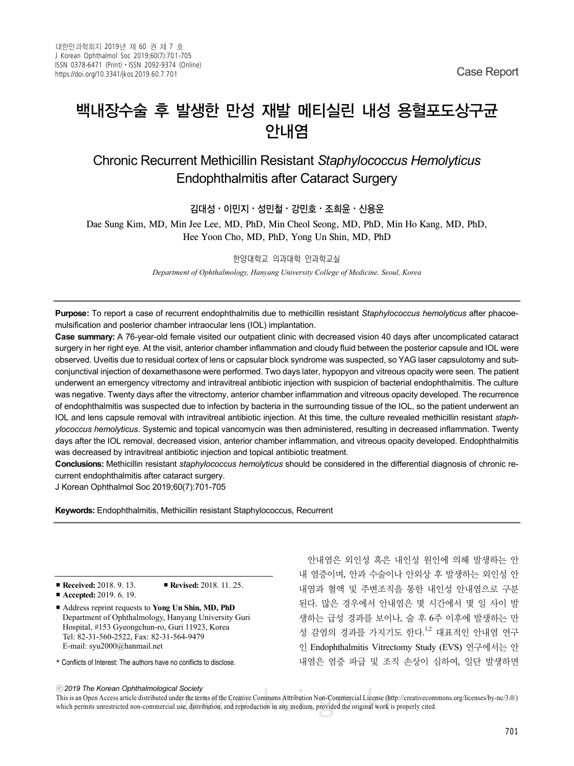# 백내장수술 후 발생한 만성 재발 메티실린 내성 용혈포도상구균 안내염

Chronic Recurrent Methicillin Resistant *Staphylococcus Hemolyticus* Endophthalmitis after Cataract Surgery

### 김대성⋅이민지⋅성민철⋅강민호⋅조희윤⋅신용운

Dae Sung Kim, MD, Min Jee Lee, MD, PhD, Min Cheol Seong, MD, PhD, Min Ho Kang, MD, PhD, Hee Yoon Cho, MD, PhD, Yong Un Shin, MD, PhD

#### 한양대학교 의과대학 안과학교실

*Department of Ophthalmology, Hanyang University College of Medicine, Seoul, Korea*

**Purpose:** To report a case of recurrent endophthalmitis due to methicillin resistant *Staphylococcus hemolyticus* after phacoemulsification and posterior chamber intraocular lens (IOL) implantation.

**Case summary:** A 76-year-old female visited our outpatient clinic with decreased vision 40 days after uncomplicated cataract surgery in her right eye. At the visit, anterior chamber inflammation and cloudy fluid between the posterior capsule and IOL were observed. Uveitis due to residual cortex of lens or capsular block syndrome was suspected, so YAG laser capsulotomy and subconjunctival injection of dexamethasone were performed. Two days later, hypopyon and vitreous opacity were seen. The patient underwent an emergency vitrectomy and intravitreal antibiotic injection with suspicion of bacterial endophthalmitis. The culture was negative. Twenty days after the vitrectomy, anterior chamber inflammation and vitreous opacity developed. The recurrence of endophthalmitis was suspected due to infection by bacteria in the surrounding tissue of the IOL, so the patient underwent an IOL and lens capsule removal with intravitreal antibiotic injection. At this time, the culture revealed methicillin resistant *staphylococcus hemolyticus*. Systemic and topical vancomycin was then administered, resulting in decreased inflammation. Twenty days after the IOL removal, decreased vision, anterior chamber inflammation, and vitreous opacity developed. Endophthalmitis was decreased by intravitreal antibiotic injection and topical antibiotic treatment.

**Conclusions:** Methicillin resistant *staphylococcus hemolyticus* should be considered in the differential diagnosis of chronic recurrent endophthalmitis after cataract surgery.

J Korean Ophthalmol Soc 2019;60(7):701-705

**Keywords:** Endophthalmitis, Methicillin resistant Staphylococcus, Recurrent

■ **Received:** 2018. 9. 13. ■ **Revised:** 2018. 11. 25.

- **Accepted:** 2019. 6. 19.
- Address reprint requests to **Yong Un Shin, MD, PhD** Department of Ophthalmology, Hanyang University Guri Hospital, #153 Gyeongchun-ro, Guri 11923, Korea Tel: 82-31-560-2522, Fax: 82-31-564-9479 E-mail: syu2000@hanmail.net
- \* Conflicts of Interest: The authors have no conflicts to disclose.

안내염은 외인성 혹은 내인성 원인에 의해 발생하는 안 내 염증이며, 안과 수술이나 안외상 후 발생하는 외인성 안 내염과 혈액 및 주변조직을 통한 내인성 안내염으로 구분 된다. 많은 경우에서 안내염은 몇 시간에서 몇 일 사이 발 생하는 급성 경과를 보이나, 술 후 6주 이후에 발생하는 만 성 감염의 경과를 가지기도 한다.<sup>1,2</sup> 대표적인 안내염 연구 인 Endophthalmitis Vitrectomy Study (EVS) 연구에서는 안 내염은 염증 파급 및 조직 손상이 심하여, 일단 발생하면

ⓒ*2019 The Korean Ophthalmological Society*

This is an Open Access article distributed under the terms of the Creative Commons Attribution Non-Commercial License (http://creativecommons.org/licenses/by-nc/3.0/) which permits unrestricted non-commercial use, distribution, and reproduction in any medium, provided the original work is properly cited.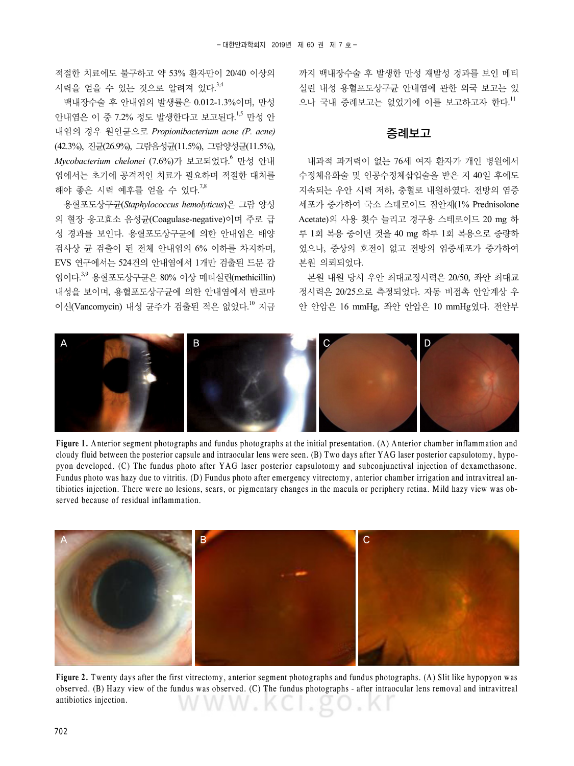적절한 치료에도 불구하고 약 53% 환자만이 20/40 이상의 시력을 얻을 수 있는 것으로 알려져 있다. 3,4

백내장수술 후 안내염의 발생률은 0.012-1.3%이며, 만성 안내염은 이 중 7.2% 정도 발생한다고 보고된다.<sup>1,5</sup> 만성 안 내염의 경우 원인균으로 *Propionibacterium acne (P. acne)*  (42.3%), 진균(26.9%), 그람음성균(11.5%), 그람양성균(11.5%), *Mycobacterium chelonei* (7.6%)가 보고되었다. <sup>6</sup> 만성 안내 염에서는 초기에 공격적인 치료가 필요하며 적절한 대처를 해야 좋은 시력 예후를 얻을 수 있다. 7,8

용혈포도상구균(*Staphylococcus hemolyticus*)은 그람 양성 의 혈장 응고효소 음성균(Coagulase-negative)이며 주로 급 성 경과를 보인다. 용혈포도상구균에 의한 안내염은 배양 검사상 균 검출이 된 전체 안내염의 6% 이하를 차지하며, EVS 연구에서는 524건의 안내염에서 1개만 검출된 드문 감 염이다. 3,9 용혈포도상구균은 80% 이상 메티실린(methicillin) 내성을 보이며, 용혈포도상구균에 의한 안내염에서 반코마 이신(Vancomycin) 내성 균주가 검출된 적은 없었다.<sup>10</sup> 지금

까지 백내장수술 후 발생한 만성 재발성 경과를 보인 메티 실린 내성 용혈포도상구균 안내염에 관한 외국 보고는 있 으나 국내 증례보고는 없었기에 이를 보고하고자 한다.<sup>11</sup>

#### 증례보고

내과적 과거력이 없는 76세 여자 환자가 개인 병원에서 수정체유화술 및 인공수정체삽입술을 받은 지 40일 후에도 지속되는 우안 시력 저하, 충혈로 내원하였다. 전방의 염증 세포가 증가하여 국소 스테로이드 점안제(1% Prednisolone Acetate)의 사용 횟수 늘리고 경구용 스테로이드 20 mg 하 루 1회 복용 중이던 것을 40 mg 하루 1회 복용으로 증량하 였으나, 증상의 호전이 없고 전방의 염증세포가 증가하여 본원 의뢰되었다.

본원 내원 당시 우안 최대교정시력은 20/50, 좌안 최대교 정시력은 20/25으로 측정되었다. 자동 비접촉 안압계상 우 안 안압은 16 mmHg, 좌안 안압은 10 mmHg였다. 전안부



**Figure 1.** Anterior segment photographs and fundus photographs at the initial presentation. (A) Anterior chamber inflammation and cloudy fluid between the posterior capsule and intraocular lens were seen. (B) Two days after YAG laser posterior capsulotomy, hypopyon developed. (C) The fundus photo after YAG laser posterior capsulotomy and subconjunctival injection of dexamethasone. Fundus photo was hazy due to vitritis. (D) Fundus photo after emergency vitrectomy, anterior chamber irrigation and intravitreal antibiotics injection. There were no lesions, scars, or pigmentary changes in the macula or periphery retina. Mild hazy view was observed because of residual inflammation.



**Figure 2.** Twenty days after the first vitrectomy, anterior segment photographs and fundus photographs. (A) Slit like hypopyon was observed. (B) Hazy view of the fundus was observed. (C) The fundus photographs - after intraocular lens removal and intravitreal antibiotics injection. WWW.KCI.go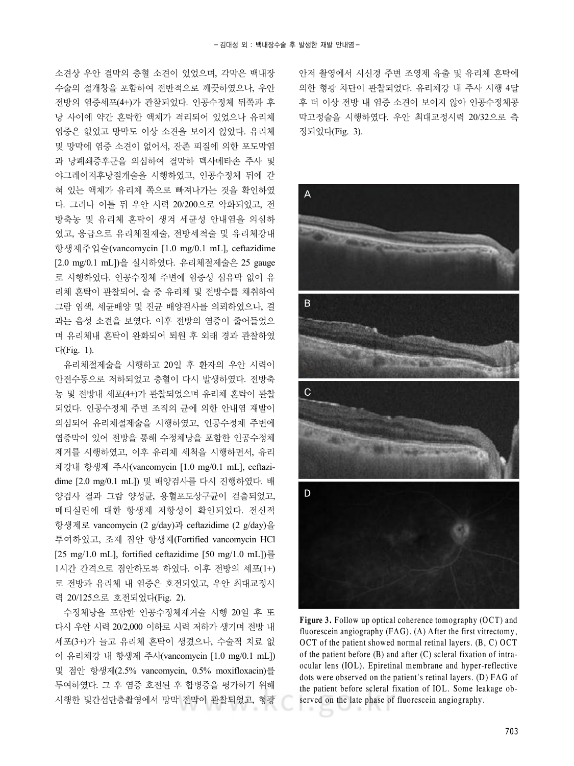소견상 우안 결막의 충혈 소견이 있었으며, 각막은 백내장 수술의 절개창을 포함하여 전반적으로 깨끗하였으나, 우안 전방의 염증세포(4+)가 관찰되었다. 인공수정체 뒤쪽과 후 낭 사이에 약간 혼탁한 액체가 격리되어 있었으나 유리체 염증은 없었고 망막도 이상 소견을 보이지 않았다. 유리체 및 망막에 염증 소견이 없어서, 잔존 피질에 의한 포도막염 과 낭폐쇄증후군을 의심하여 결막하 덱사메타손 주사 및 야그레이저후낭절개술을 시행하였고, 인공수정체 뒤에 갇 혀 있는 액체가 유리체 쪽으로 빠져나가는 것을 확인하였 다. 그러나 이틀 뒤 우안 시력 20/200으로 악화되었고, 전 방축농 및 유리체 혼탁이 생겨 세균성 안내염을 의심하 였고, 응급으로 유리체절제술, 전방세척술 및 유리체강내 항생제주입술(vancomycin [1.0 mg/0.1 mL], ceftazidime [2.0 mg/0.1 mL])을 실시하였다. 유리체절제술은 25 gauge 로 시행하였다. 인공수정체 주변에 염증성 섬유막 없이 유 리체 혼탁이 관찰되어, 술 중 유리체 및 전방수를 채취하여 그람 염색, 세균배양 및 진균 배양검사를 의뢰하였으나, 결 과는 음성 소견을 보였다. 이후 전방의 염증이 줄어들었으 며 유리체내 혼탁이 완화되어 퇴원 후 외래 경과 관찰하였 다(Fig. 1).

유리체절제술을 시행하고 20일 후 환자의 우안 시력이 안전수동으로 저하되었고 충혈이 다시 발생하였다. 전방축 농 및 전방내 세포(4+)가 관찰되었으며 유리체 혼탁이 관찰 되었다. 인공수정체 주변 조직의 균에 의한 안내염 재발이 의심되어 유리체절제술을 시행하였고, 인공수정체 주변에 염증막이 있어 전방을 통해 수정체낭을 포함한 인공수정체 제거를 시행하였고, 이후 유리체 세척을 시행하면서, 유리 체강내 항생제 주사(vancomycin [1.0 mg/0.1 mL], ceftazidime [2.0 mg/0.1 mL]) 및 배양검사를 다시 진행하였다. 배 양검사 결과 그람 양성균, 용혈포도상구균이 검출되었고, 메티실린에 대한 항생제 저항성이 확인되었다. 전신적 항생제로 vancomycin (2 g/day)과 ceftazidime (2 g/day)을 투여하였고, 조제 점안 항생제(Fortified vancomycin HCl [25 mg/1.0 mL], fortified ceftazidime [50 mg/1.0 mL])를 1시간 간격으로 점안하도록 하였다. 이후 전방의 세포(1+) 로 전방과 유리체 내 염증은 호전되었고, 우안 최대교정시 력 20/125으로 호전되었다(Fig. 2).

수정체낭을 포함한 인공수정체제거술 시행 20일 후 또 다시 우안 시력 20/2,000 이하로 시력 저하가 생기며 전방 내 세포(3+)가 늘고 유리체 혼탁이 생겼으나, 수술적 치료 없 이 유리체강 내 항생제 주사(vancomycin [1.0 mg/0.1 mL]) 및 점안 항생제(2.5% vancomycin, 0.5% moxifloxacin)를 투여하였다. 그 후 염증 호전된 후 합병증을 평가하기 위해 시행한 빛간섭단층촬영에서 망막 전막이 관찰되었고, 형광

안저 촬영에서 시신경 주변 조영제 유출 및 유리체 혼탁에 의한 형광 차단이 관찰되었다. 유리체강 내 주사 시행 4달 후 더 이상 전방 내 염증 소견이 보이지 않아 인공수정체공 막고정술을 시행하였다. 우안 최대교정시력 20/32으로 측 정되었다(Fig. 3).



Figure 3. Follow up optical coherence tomography (OCT) and fluorescein angiography (FAG). (A) After the first vitrectomy, OCT of the patient showed normal retinal layers. (B, C) OCT of the patient before (B) and after (C) scleral fixation of intraocular lens (IOL). Epiretinal membrane and hyper-reflective dots were observed on the patient's retinal layers. (D) FAG of the patient before scleral fixation of IOL. Some leakage observed on the late phase of fluorescein angiography.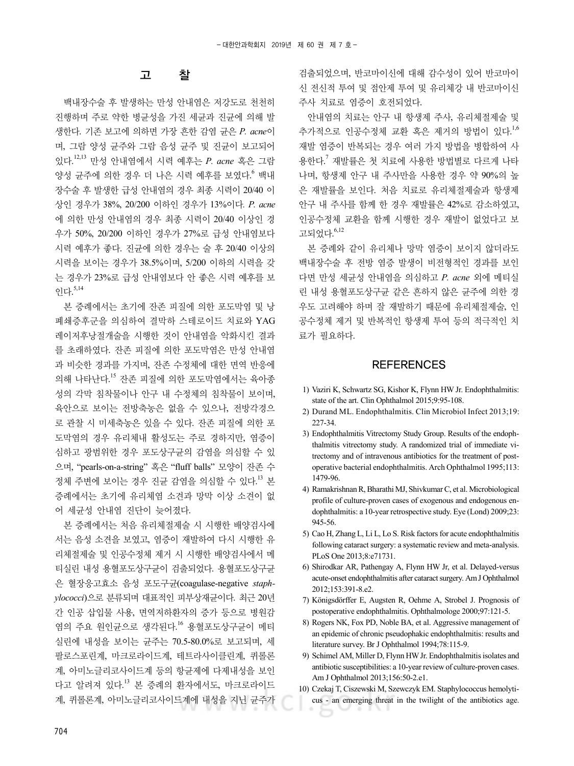## 고 찰

백내장수술 후 발생하는 만성 안내염은 저강도로 천천히 진행하며 주로 약한 병균성을 가진 세균과 진균에 의해 발 생한다. 기존 보고에 의하면 가장 흔한 감염 균은 *P. acne*이 며, 그람 양성 균주와 그람 음성 균주 및 진균이 보고되어 있다. 12,13 만성 안내염에서 시력 예후는 *P. acne* 혹은 그람 양성 균주에 의한 경우 더 나은 시력 예후를 보였다.<sup>6</sup> 백내 장수술 후 발생한 급성 안내염의 경우 최종 시력이 20/40 이 상인 경우가 38%, 20/200 이하인 경우가 13%이다*. P. acne* 에 의한 만성 안내염의 경우 최종 시력이 20/40 이상인 경 우가 50%, 20/200 이하인 경우가 27%로 급성 안내염보다 시력 예후가 좋다. 진균에 의한 경우는 술 후 20/40 이상의 시력을 보이는 경우가 38.5%이며, 5/200 이하의 시력을 갖 는 경우가 23%로 급성 안내염보다 안 좋은 시력 예후를 보 인다. 5,14

본 증례에서는 초기에 잔존 피질에 의한 포도막염 및 낭 폐쇄증후군을 의심하여 결막하 스테로이드 치료와 YAG 레이저후낭절개술을 시행한 것이 안내염을 악화시킨 결과 를 초래하였다. 잔존 피질에 의한 포도막염은 만성 안내염 과 비슷한 경과를 가지며, 잔존 수정체에 대한 면역 반응에 의해 나타난다. <sup>15</sup> 잔존 피질에 의한 포도막염에서는 육아종 성의 각막 침착물이나 안구 내 수정체의 침착물이 보이며, 육안으로 보이는 전방축농은 없을 수 있으나, 전방각경으 로 관찰 시 미세축농은 있을 수 있다. 잔존 피질에 의한 포 도막염의 경우 유리체내 활성도는 주로 경하지만, 염증이 심하고 광범위한 경우 포도상구균의 감염을 의심할 수 있 으며, "pearls-on-a-string" 혹은 "fluff balls" 모양이 잔존 수 정체 주변에 보이는 경우 진균 감염을 의심할 수 있다. <sup>13</sup> 본 증례에서는 초기에 유리체염 소견과 망막 이상 소견이 없 어 세균성 안내염 진단이 늦어졌다.

본 증례에서는 처음 유리체절제술 시 시행한 배양검사에 서는 음성 소견을 보였고, 염증이 재발하여 다시 시행한 유 리체절제술 및 인공수정체 제거 시 시행한 배양검사에서 메 티실린 내성 용혈포도상구균이 검출되었다. 용혈포도상구균 은 혈장응고효소 음성 포도구균(coagulase-negative *staphylococci*)으로 분류되며 대표적인 피부상재균이다. 최근 20년 간 인공 삽입물 사용, 면역저하환자의 증가 등으로 병원감 염의 주요 원인균으로 생각된다.<sup>16</sup> 용혈포도상구균이 메티 실린에 내성을 보이는 균주는 70.5-80.0%로 보고되며, 세 팔로스포린계, 마크로라이드계, 테트라사이클린계, 퀴롤론 계, 아미노글리코사이드계 등의 항균제에 다제내성을 보인 다고 알려져 있다. <sup>13</sup> 본 증례의 환자에서도, 마크로라이드 계, 퀴롤론계, 아미노글리코사이드계에 내성을 지닌 균주가

검출되었으며, 반코마이신에 대해 감수성이 있어 반코마이 신 전신적 투여 및 점안제 투여 및 유리체강 내 반코마이신 주사 치료로 염증이 호전되었다.

안내염의 치료는 안구 내 항생제 주사, 유리체절제술 및 추가적으로 인공수정체 교환 혹은 제거의 방법이 있다.<sup>1,6</sup> 재발 염증이 반복되는 경우 여러 가지 방법을 병합하여 사 용한다. <sup>7</sup> 재발률은 첫 치료에 사용한 방법별로 다르게 나타 나며, 항생제 안구 내 주사만을 사용한 경우 약 90%의 높 은 재발률을 보인다. 처음 치료로 유리체절제술과 항생제 안구 내 주사를 함께 한 경우 재발률은 42%로 감소하였고, 인공수정체 교환을 함께 시행한 경우 재발이 없었다고 보 고되었다. 6,12

본 증례와 같이 유리체나 망막 염증이 보이지 않더라도 백내장수술 후 전방 염증 발생이 비전형적인 경과를 보인 다면 만성 세균성 안내염을 의심하고 *P. acne* 외에 메티실 린 내성 용혈포도상구균 같은 흔하지 않은 균주에 의한 경 우도 고려해야 하며 잘 재발하기 때문에 유리체절제술, 인 공수정체 제거 및 반복적인 항생제 투여 등의 적극적인 치 료가 필요하다.

### **REFERENCES**

- 1) Vaziri K, Schwartz SG, Kishor K, Flynn HW Jr. Endophthalmitis: state of the art. Clin Ophthalmol 2015;9:95-108.
- 2) Durand ML. Endophthalmitis. Clin Microbiol Infect 2013;19: 227-34
- 3) Endophthalmitis Vitrectomy Study Group. Results of the endophthalmitis vitrectomy study. A randomized trial of immediate vitrectomy and of intravenous antibiotics for the treatment of postoperative bacterial endophthalmitis. Arch Ophthalmol 1995;113: 1479-96.
- 4) Ramakrishnan R, Bharathi MJ, Shivkumar C, et al. Microbiological profile of culture-proven cases of exogenous and endogenous endophthalmitis: a 10-year retrospective study. Eye (Lond) 2009;23: 945-56.
- 5) Cao H, Zhang L, Li L, Lo S. Risk factors for acute endophthalmitis following cataract surgery: a systematic review and meta-analysis. PLoS One 2013;8:e71731.
- 6) Shirodkar AR, Pathengay A, Flynn HW Jr, et al. Delayed-versus acute-onset endophthalmitis after cataract surgery. Am J Ophthalmol 2012;153:391-8.e2.
- 7) Königsdörffer E, Augsten R, Oehme A, Strobel J. Prognosis of postoperative endophthalmitis. Ophthalmologe 2000;97:121-5.
- 8) Rogers NK, Fox PD, Noble BA, et al. Aggressive management of an epidemic of chronic pseudophakic endophthalmitis: results and literature survey. Br J Ophthalmol 1994;78:115-9.
- 9) Schimel AM, Miller D, Flynn HW Jr. Endophthalmitis isolates and antibiotic susceptibilities: a 10-year review of culture-proven cases. Am J Ophthalmol 2013;156:50-2.e1.
- 10) Czekaj T, Ciszewski M, Szewczyk EM. Staphylococcus hemolyticus - an emerging threat in the twilight of the antibiotics age.